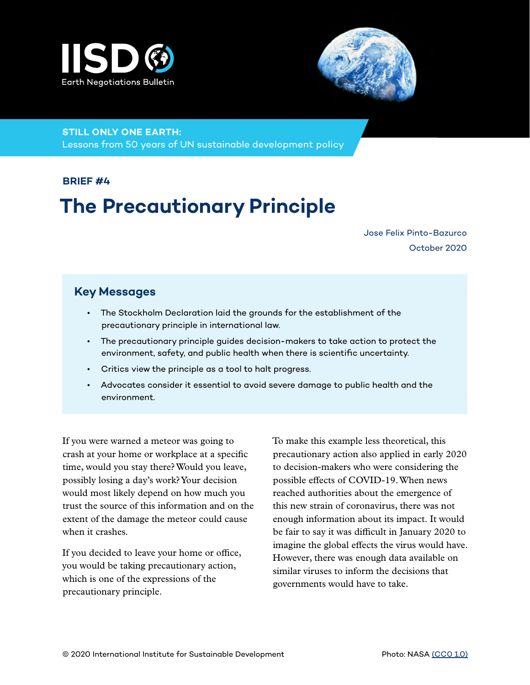



**STILL ONLY ONE EARTH:** 

Lessons from 50 years of UN sustainable development policy

#### **BRIEF #4**

# **The Precautionary Principle**

Jose Felix Pinto-Bazurco October 2020

#### **Key Messages**

- The Stockholm Declaration laid the grounds for the establishment of the precautionary principle in international law.
- The precautionary principle guides decision-makers to take action to protect the environment, safety, and public health when there is scientific uncertainty.
- Critics view the principle as a tool to halt progress.
- Advocates consider it essential to avoid severe damage to public health and the environment.

If you were warned a meteor was going to crash at your home or workplace at a specific time, would you stay there? Would you leave, possibly losing a day's work? Your decision would most likely depend on how much you trust the source of this information and on the extent of the damage the meteor could cause when it crashes.

If you decided to leave your home or office, you would be taking precautionary action, which is one of the expressions of the precautionary principle.

To make this example less theoretical, this precautionary action also applied in early 2020 to decision-makers who were considering the possible effects of COVID-19. When news reached authorities about the emergence of this new strain of coronavirus, there was not enough information about its impact. It would be fair to say it was difficult in January 2020 to imagine the global effects the virus would have. However, there was enough data available on similar viruses to inform the decisions that governments would have to take.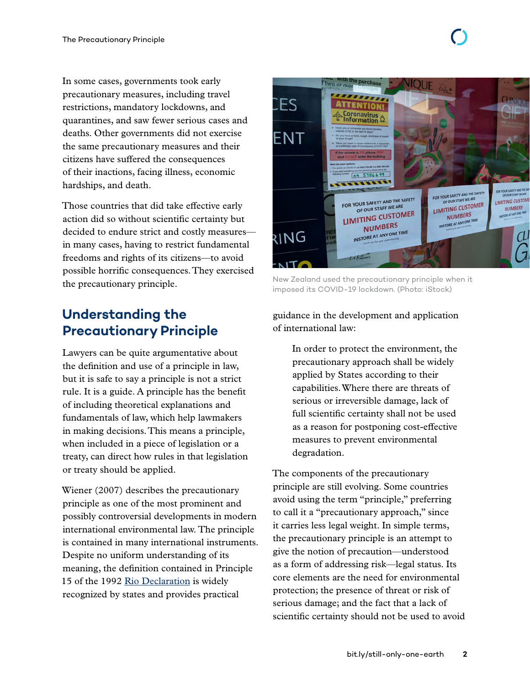In some cases, governments took early precautionary measures, including travel restrictions, mandatory lockdowns, and quarantines, and saw fewer serious cases and deaths. Other governments did not exercise the same precautionary measures and their citizens have suffered the consequences of their inactions, facing illness, economic hardships, and death.

Those countries that did take effective early action did so without scientific certainty but decided to endure strict and costly measures in many cases, having to restrict fundamental freedoms and rights of its citizens—to avoid possible horrific consequences. They exercised the precautionary principle.

## **Understanding the Precautionary Principle**

Lawyers can be quite argumentative about the definition and use of a principle in law, but it is safe to say a principle is not a strict rule. It is a guide. A principle has the benefit of including theoretical explanations and fundamentals of law, which help lawmakers in making decisions. This means a principle, when included in a piece of legislation or a treaty, can direct how rules in that legislation or treaty should be applied.

Wiener (2007) describes the precautionary principle as one of the most prominent and possibly controversial developments in modern international environmental law. The principle is contained in many international instruments. Despite no uniform understanding of its meaning, the definition contained in Principle 15 of the 1992 [Rio Declaration](https://www.un.org/en/development/desa/population/migration/generalassembly/docs/globalcompact/A_CONF.151_26_Vol.I_Declaration.pdf) is widely recognized by states and provides practical



New Zealand used the precautionary principle when it imposed its COVID-19 lockdown. (Photo: iStock)

guidance in the development and application of international law:

In order to protect the environment, the precautionary approach shall be widely applied by States according to their capabilities. Where there are threats of serious or irreversible damage, lack of full scientific certainty shall not be used as a reason for postponing cost-effective measures to prevent environmental degradation.

The components of the precautionary principle are still evolving. Some countries avoid using the term "principle," preferring to call it a "precautionary approach," since it carries less legal weight. In simple terms, the precautionary principle is an attempt to give the notion of precaution—understood as a form of addressing risk—legal status. Its core elements are the need for environmental protection; the presence of threat or risk of serious damage; and the fact that a lack of scientific certainty should not be used to avoid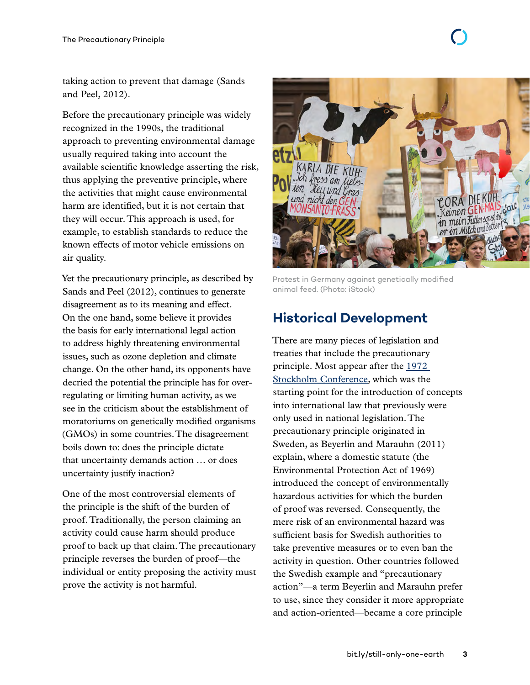taking action to prevent that damage (Sands and Peel, 2012).

Before the precautionary principle was widely recognized in the 1990s, the traditional approach to preventing environmental damage usually required taking into account the available scientific knowledge asserting the risk, thus applying the preventive principle, where the activities that might cause environmental harm are identified, but it is not certain that they will occur. This approach is used, for example, to establish standards to reduce the known effects of motor vehicle emissions on air quality.

Yet the precautionary principle, as described by Sands and Peel (2012), continues to generate disagreement as to its meaning and effect. On the one hand, some believe it provides the basis for early international legal action to address highly threatening environmental issues, such as ozone depletion and climate change. On the other hand, its opponents have decried the potential the principle has for overregulating or limiting human activity, as we see in the criticism about the establishment of moratoriums on genetically modified organisms (GMOs) in some countries. The disagreement boils down to: does the principle dictate that uncertainty demands action … or does uncertainty justify inaction?

One of the most controversial elements of the principle is the shift of the burden of proof. Traditionally, the person claiming an activity could cause harm should produce proof to back up that claim. The precautionary principle reverses the burden of proof—the individual or entity proposing the activity must prove the activity is not harmful.



Protest in Germany against genetically modified animal feed. (Photo: iStock)

### **Historical Development**

There are many pieces of legislation and treaties that include the precautionary principle. Most appear after the [1972](https://www.iisd.org/articles/stockholm-and-birth-environmental-diplomacy)  [Stockholm Conference](https://www.iisd.org/articles/stockholm-and-birth-environmental-diplomacy), which was the starting point for the introduction of concepts into international law that previously were only used in national legislation. The precautionary principle originated in Sweden, as Beyerlin and Marauhn (2011) explain, where a domestic statute (the Environmental Protection Act of 1969) introduced the concept of environmentally hazardous activities for which the burden of proof was reversed. Consequently, the mere risk of an environmental hazard was sufficient basis for Swedish authorities to take preventive measures or to even ban the activity in question. Other countries followed the Swedish example and "precautionary action"—a term Beyerlin and Marauhn prefer to use, since they consider it more appropriate and action-oriented—became a core principle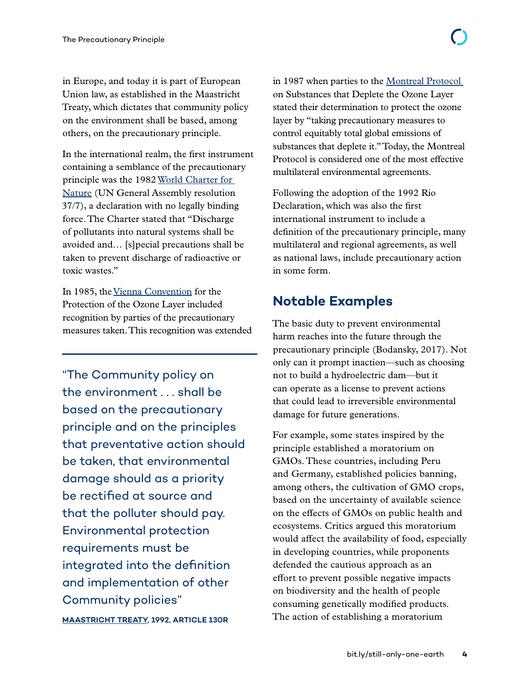in Europe, and today it is part of European Union law, as established in the Maastricht Treaty, which dictates that community policy on the environment shall be based, among others, on the precautionary principle.

In the international realm, the first instrument containing a semblance of the precautionary principle was the 1982 [World Charter for](https://sedac.ciesin.columbia.edu/entri/texts/world.charter.for.nature.1982.html)  [Nature](https://sedac.ciesin.columbia.edu/entri/texts/world.charter.for.nature.1982.html) (UN General Assembly resolution 37/7), a declaration with no legally binding force. The Charter stated that "Discharge of pollutants into natural systems shall be avoided and… [s]pecial precautions shall be taken to prevent discharge of radioactive or toxic wastes."

In 1985, the [Vienna Convention](https://ozone.unep.org/treaties/vienna-convention/vienna-convention-protection-ozone-layer) for the Protection of the Ozone Layer included recognition by parties of the precautionary measures taken. This recognition was extended

"The Community policy on the environment . . . shall be based on the precautionary principle and on the principles that preventative action should be taken, that environmental damage should as a priority be rectified at source and that the polluter should pay. Environmental protection requirements must be integrated into the definition and implementation of other Community policies" **[MAASTRICHT TREATY,](https://europa.eu/european-union/sites/europaeu/files/docs/body/treaty_on_european_union_en.pdf) 1992, ARTICLE 130R**

in 1987 when parties to the [Montreal Protocol](https://ozone.unep.org/treaties/montreal-protocol-substances-deplete-ozone-layer/text)  on Substances that Deplete the Ozone Layer stated their determination to protect the ozone layer by "taking precautionary measures to control equitably total global emissions of substances that deplete it." Today, the Montreal Protocol is considered one of the most effective multilateral environmental agreements.

Following the adoption of the 1992 Rio Declaration, which was also the first international instrument to include a definition of the precautionary principle, many multilateral and regional agreements, as well as national laws, include precautionary action in some form.

#### **Notable Examples**

The basic duty to prevent environmental harm reaches into the future through the precautionary principle (Bodansky, 2017). Not only can it prompt inaction—such as choosing not to build a hydroelectric dam—but it can operate as a license to prevent actions that could lead to irreversible environmental damage for future generations.

For example, some states inspired by the principle established a moratorium on GMOs. These countries, including Peru and Germany, established policies banning, among others, the cultivation of GMO crops, based on the uncertainty of available science on the effects of GMOs on public health and ecosystems. Critics argued this moratorium would affect the availability of food, especially in developing countries, while proponents defended the cautious approach as an effort to prevent possible negative impacts on biodiversity and the health of people consuming genetically modified products. The action of establishing a moratorium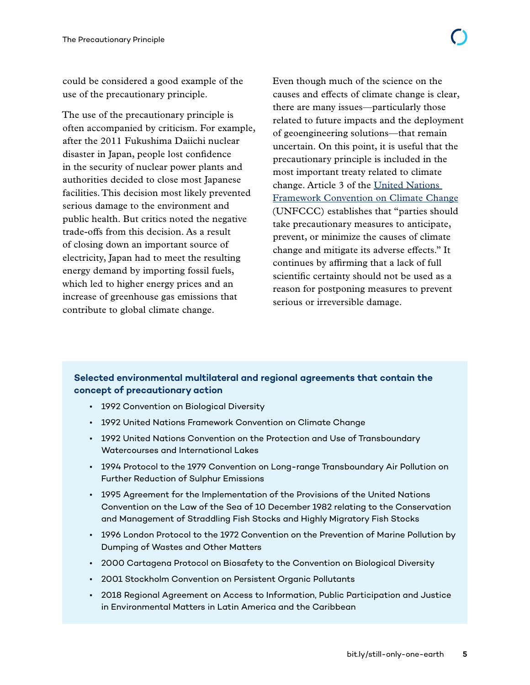could be considered a good example of the use of the precautionary principle.

The use of the precautionary principle is often accompanied by criticism. For example, after the 2011 Fukushima Daiichi nuclear disaster in Japan, people lost confidence in the security of nuclear power plants and authorities decided to close most Japanese facilities. This decision most likely prevented serious damage to the environment and public health. But critics noted the negative trade-offs from this decision. As a result of closing down an important source of electricity, Japan had to meet the resulting energy demand by importing fossil fuels, which led to higher energy prices and an increase of greenhouse gas emissions that contribute to global climate change.

Even though much of the science on the causes and effects of climate change is clear, there are many issues—particularly those related to future impacts and the deployment of geoengineering solutions—that remain uncertain. On this point, it is useful that the precautionary principle is included in the most important treaty related to climate change. Article 3 of the [United Nations](https://unfccc.int/files/essential_background/background_publications_htmlpdf/application/pdf/conveng.pdf)  [Framework Convention on Climate Change](https://unfccc.int/files/essential_background/background_publications_htmlpdf/application/pdf/conveng.pdf) (UNFCCC) establishes that "parties should take precautionary measures to anticipate, prevent, or minimize the causes of climate change and mitigate its adverse effects." It continues by affirming that a lack of full scientific certainty should not be used as a reason for postponing measures to prevent serious or irreversible damage.

#### **Selected environmental multilateral and regional agreements that contain the concept of precautionary action**

- 1992 Convention on Biological Diversity
- 1992 United Nations Framework Convention on Climate Change
- 1992 United Nations Convention on the Protection and Use of Transboundary Watercourses and International Lakes
- 1994 Protocol to the 1979 Convention on Long-range Transboundary Air Pollution on Further Reduction of Sulphur Emissions
- 1995 Agreement for the Implementation of the Provisions of the United Nations Convention on the Law of the Sea of 10 December 1982 relating to the Conservation and Management of Straddling Fish Stocks and Highly Migratory Fish Stocks
- 1996 London Protocol to the 1972 Convention on the Prevention of Marine Pollution by Dumping of Wastes and Other Matters
- 2000 Cartagena Protocol on Biosafety to the Convention on Biological Diversity
- 2001 Stockholm Convention on Persistent Organic Pollutants
- 2018 Regional Agreement on Access to Information, Public Participation and Justice in Environmental Matters in Latin America and the Caribbean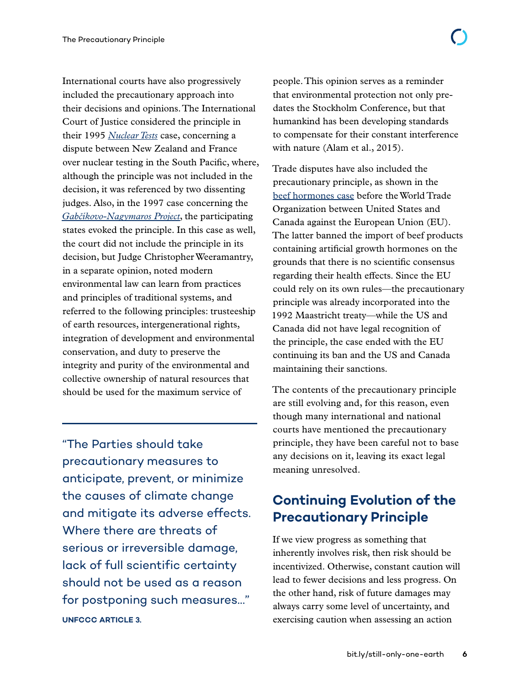International courts have also progressively included the precautionary approach into their decisions and opinions. The International Court of Justice considered the principle in their 1995 *[Nuclear Tests](https://www.icj-cij.org/en/case/97)* case, concerning a dispute between New Zealand and France over nuclear testing in the South Pacific, where, although the principle was not included in the decision, it was referenced by two dissenting judges. Also, in the 1997 case concerning the *[Gabčíkovo-Nagymaros Project](https://www.icj-cij.org/en/case/92/judgments)*, the participating states evoked the principle. In this case as well, the court did not include the principle in its decision, but Judge Christopher Weeramantry, in a separate opinion, noted modern environmental law can learn from practices and principles of traditional systems, and referred to the following principles: trusteeship of earth resources, intergenerational rights, integration of development and environmental conservation, and duty to preserve the integrity and purity of the environmental and collective ownership of natural resources that should be used for the maximum service of

"The Parties should take precautionary measures to anticipate, prevent, or minimize the causes of climate change and mitigate its adverse effects. Where there are threats of serious or irreversible damage, lack of full scientific certainty should not be used as a reason for postponing such measures…" **UNFCCC ARTICLE 3.**

people. This opinion serves as a reminder that environmental protection not only predates the Stockholm Conference, but that humankind has been developing standards to compensate for their constant interference with nature (Alam et al., 2015).

Trade disputes have also included the precautionary principle, as shown in the [beef hormones case](https://www.wto.org/english/tratop_e/dispu_e/cases_e/ds26_e.htm) before the World Trade Organization between United States and Canada against the European Union (EU). The latter banned the import of beef products containing artificial growth hormones on the grounds that there is no scientific consensus regarding their health effects. Since the EU could rely on its own rules—the precautionary principle was already incorporated into the 1992 Maastricht treaty—while the US and Canada did not have legal recognition of the principle, the case ended with the EU continuing its ban and the US and Canada maintaining their sanctions.

The contents of the precautionary principle are still evolving and, for this reason, even though many international and national courts have mentioned the precautionary principle, they have been careful not to base any decisions on it, leaving its exact legal meaning unresolved.

## **Continuing Evolution of the Precautionary Principle**

If we view progress as something that inherently involves risk, then risk should be incentivized. Otherwise, constant caution will lead to fewer decisions and less progress. On the other hand, risk of future damages may always carry some level of uncertainty, and exercising caution when assessing an action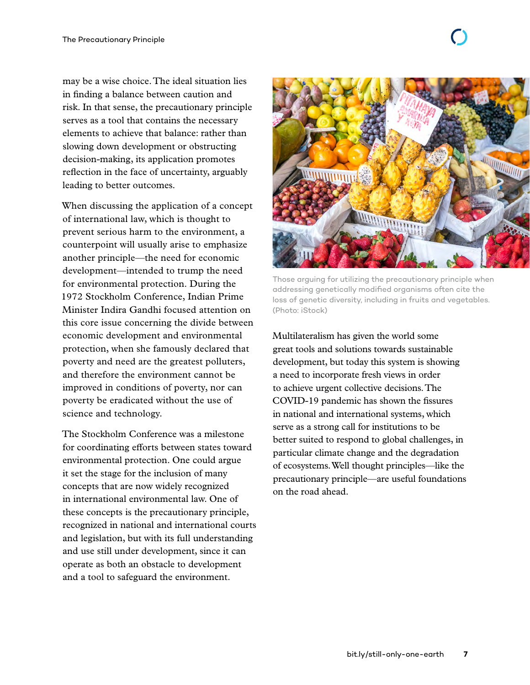may be a wise choice. The ideal situation lies in finding a balance between caution and risk. In that sense, the precautionary principle serves as a tool that contains the necessary elements to achieve that balance: rather than slowing down development or obstructing decision-making, its application promotes reflection in the face of uncertainty, arguably leading to better outcomes.

When discussing the application of a concept of international law, which is thought to prevent serious harm to the environment, a counterpoint will usually arise to emphasize another principle—the need for economic development—intended to trump the need for environmental protection. During the 1972 Stockholm Conference, Indian Prime Minister Indira Gandhi focused attention on this core issue concerning the divide between economic development and environmental protection, when she famously declared that poverty and need are the greatest polluters, and therefore the environment cannot be improved in conditions of poverty, nor can poverty be eradicated without the use of science and technology.

The Stockholm Conference was a milestone for coordinating efforts between states toward environmental protection. One could argue it set the stage for the inclusion of many concepts that are now widely recognized in international environmental law. One of these concepts is the precautionary principle, recognized in national and international courts and legislation, but with its full understanding and use still under development, since it can operate as both an obstacle to development and a tool to safeguard the environment.



Those arguing for utilizing the precautionary principle when addressing genetically modified organisms often cite the loss of genetic diversity, including in fruits and vegetables. (Photo: iStock)

Multilateralism has given the world some great tools and solutions towards sustainable development, but today this system is showing a need to incorporate fresh views in order to achieve urgent collective decisions. The COVID-19 pandemic has shown the fissures in national and international systems, which serve as a strong call for institutions to be better suited to respond to global challenges, in particular climate change and the degradation of ecosystems. Well thought principles—like the precautionary principle—are useful foundations on the road ahead.